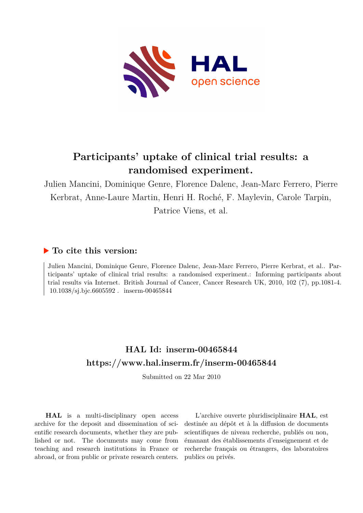

## **Participants' uptake of clinical trial results: a randomised experiment.**

Julien Mancini, Dominique Genre, Florence Dalenc, Jean-Marc Ferrero, Pierre Kerbrat, Anne-Laure Martin, Henri H. Roché, F. Maylevin, Carole Tarpin,

Patrice Viens, et al.

### **To cite this version:**

Julien Mancini, Dominique Genre, Florence Dalenc, Jean-Marc Ferrero, Pierre Kerbrat, et al.. Participants' uptake of clinical trial results: a randomised experiment.: Informing participants about trial results via Internet. British Journal of Cancer, Cancer Research UK, 2010, 102 (7), pp.1081-4. 10.1038/sj.bjc.6605592. inserm-00465844

### **HAL Id: inserm-00465844 <https://www.hal.inserm.fr/inserm-00465844>**

Submitted on 22 Mar 2010

**HAL** is a multi-disciplinary open access archive for the deposit and dissemination of scientific research documents, whether they are published or not. The documents may come from teaching and research institutions in France or abroad, or from public or private research centers.

L'archive ouverte pluridisciplinaire **HAL**, est destinée au dépôt et à la diffusion de documents scientifiques de niveau recherche, publiés ou non, émanant des établissements d'enseignement et de recherche français ou étrangers, des laboratoires publics ou privés.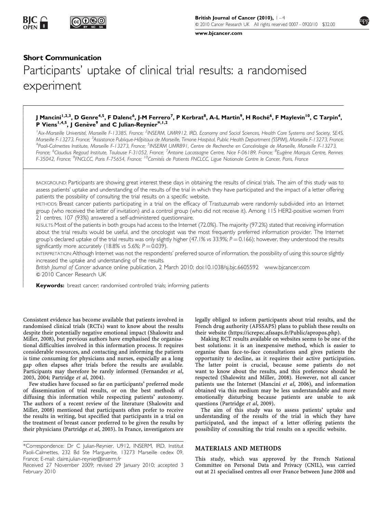

[www.bjcancer.com](http://www.bjcancer.com)

#### Short Communication

- $\overline{\phantom{a}}$  $\overline{\phantom{a}}$  $\overline{\phantom{a}}$  $\overline{\phantom{a}}$  $\overline{\phantom{a}}$  $\overline{\phantom{a}}$  $\overline{\phantom{a}}$  $\overline{\phantom{a}}$  $\overline{\phantom{a}}$  $\overline{\phantom{a}}$  $\overline{\phantom{a}}$  $\overline{\phantom{a}}$  $\overline{\phantom{a}}$  $\overline{\phantom{a}}$  $\overline{\phantom{a}}$  $\overline{\phantom{a}}$  $\overline{\phantom{a}}$ - $\overline{1}$  $\overline{\phantom{a}}$  $\overline{\phantom{a}}$  $\overline{\phantom{a}}$  $\overline{\phantom{a}}$  $\overline{\phantom{a}}$  $\overline{\phantom{a}}$  $\overline{\phantom{a}}$  $\overline{\phantom{a}}$  $\overline{\phantom{a}}$  $\overline{\phantom{a}}$  $\overline{\phantom{a}}$  $\overline{\phantom{a}}$  $\overline{\phantom{a}}$  $\overline{\phantom{a}}$  $\overline{\phantom{a}}$  $\overline{\phantom{a}}$  $\overline{\phantom{a}}$  $\overline{\phantom{a}}$  $\overline{\phantom{a}}$  $\overline{\phantom{a}}$  $\overline{\phantom{a}}$  $\overline{\phantom{a}}$  $\overline{\phantom{a}}$  $\overline{\phantom{a}}$  $\overline{\phantom{a}}$  $\overline{\phantom{a}}$  $\overline{\phantom{a}}$  $\overline{\phantom{a}}$  $\overline{\phantom{a}}$  $\overline{\phantom{a}}$  $\overline{\phantom{a}}$  $\overline{\phantom{a}}$  $\overline{\phantom{a}}$ 

# Participants' uptake of clinical trial results: a randomised experiment

#### J Mancini<sup>I,2,3</sup>, D Genre<sup>4,5</sup>, F Dalenc<sup>6</sup>, J-M Ferrero<sup>7</sup>, P Kerbrat<sup>8</sup>, A-L Martin<sup>9</sup>, H Roché<sup>6</sup>, F Maylevin<sup>10</sup>, C Tarpin<sup>4</sup>, P Viens<sup>1,4,5</sup>, J Genève<sup>9</sup> and C Julian-Reynier<sup>\*,1,2</sup>

<sup>1</sup> Aix-Marseille Université, Marseille F-13385, France; <sup>2</sup>INSERM, UMR912, IRD, Economy and Social Sciences, Health Care Systems and Society, SE4S, Marseille F-13273, France; <sup>3</sup>Assistance Publique-Hôpitaux de Marseille, Timone Hospital, Public Health Department (SSPIM), Marseille F-13273, France;<br><sup>4</sup>Paoli Calmettes Institute, Marseille E-13273, France: <sup>5</sup>INSERM LIMR Paoli-Calmettes Institute, Marseille F-13273, France; <sup>5</sup>INSERM UMR891, Centre de Recherche en Cancérologie de Marseille, Marseille F-13273, France; <sup>6</sup>Claudius Regaud Institute, Toulouse F-31052, France; <sup>7</sup>Antoine Lacassagne Centre, Nice F-06189, France; <sup>8</sup>Eugène Marquis Centre, Rennes F-35042, France; <sup>9</sup>FNCLCC, Paris F-75654, France; <sup>10</sup>Comités de Patients FNCLCC, Ligue Nationale Contre le Cancer, Paris, France

BACKGROUND: Participants are showing great interest these days in obtaining the results of clinical trials. The aim of this study was to assess patients' uptake and understanding of the results of the trial in which they have participated and the impact of a letter offering patients the possibility of consulting the trial results on a specific website.

METHODS: Breast cancer patients participating in a trial on the efficacy of Trastuzumab were randomly subdivided into an Internet group (who received the letter of invitation) and a control group (who did not receive it). Among 115 HER2-positive women from 21 centres, 107 (93%) answered a self-administered questionnaire.

RESULTS: Most of the patients in both groups had access to the Internet (72.0%). The majority (97.2%) stated that receiving information about the trial results would be useful, and the oncologist was the most frequently preferred information provider. The Internet group's declared uptake of the trial results was only slightly higher (47.1% vs 33.9%;  $P = 0.166$ ); however, they understood the results significantly more accurately (18.8% vs 5.6%;  $P = 0.039$ ).

INTERPRETATION:Although Internet was not the respondents' preferred source of information, the possibility of using this source slightly increased the uptake and understanding of the results.

British Journal of Cancer advance online publication, 2 March 2010; doi[:10.1038/sj.bjc.6605592](http://dx.doi.org/10.1038/sj.bjc.6605592) [www.bjcancer.com](http://www.bjcancer.com) & 2010 Cancer Research UK

Keywords: breast cancer; randomised controlled trials; informing patients

Consistent evidence has become available that patients involved in randomised clinical trials (RCTs) want to know about the results despite their potentially negative emotional impact (Shalowitz and Miller, 2008), but previous authors have emphasised the organisational difficulties involved in this information process. It requires considerable resources, and contacting and informing the patients is time consuming for physicians and nurses, especially as a long gap often elapses after trials before the results are available. Participants may therefore be rarely informed (Fernandez et al, 2003, 2004; Partridge et al, 2004).

Few studies have focused so far on participants' preferred mode of dissemination of trial results, or on the best methods of diffusing this information while respecting patients' autonomy. The authors of a recent review of the literature (Shalowitz and Miller, 2008) mentioned that participants often prefer to receive the results in writing, but specified that participants in a trial on the treatment of breast cancer preferred to be given the results by their physicians (Partridge et al, 2003). In France, investigators are legally obliged to inform participants about trial results, and the French drug authority (AFSSAPS) plans to publish these results on their website (https://icrepec.afssaps.fr/Public/apropos.php).

Making RCT results available on websites seems to be one of the best solutions: it is an inexpensive method, which is easier to organise than face-to-face consultations and gives patients the opportunity to decline, as it requires their active participation. The latter point is crucial, because some patients do not want to know about the results, and this preference should be respected (Shalowitz and Miller, 2008). However, not all cancer patients use the Internet (Mancini et al, 2006), and information obtained via this medium may be less understandable and more emotionally disturbing because patients are unable to ask questions (Partridge et al, 2009).

The aim of this study was to assess patients' uptake and understanding of the results of the trial in which they have participated, and the impact of a letter offering patients the possibility of consulting the trial results on a specific website.

#### MATERIALS AND METHODS

This study, which was approved by the French National Committee on Personal Data and Privacy (CNIL), was carried out at 21 specialised centres all over France between June 2008 and



<sup>\*</sup>Correspondence: Dr C Julian-Reynier, U912, INSERM, IRD, Institut Paoli-Calmettes, 232 Bd Ste Marguerite, 13273 Marseille cedex 09, France; E-mail: [claire.julian-reynier@inserm.fr](mailto:claire.julian-reynier@inserm.fr)

Received 27 November 2009; revised 29 January 2010; accepted 3 February 2010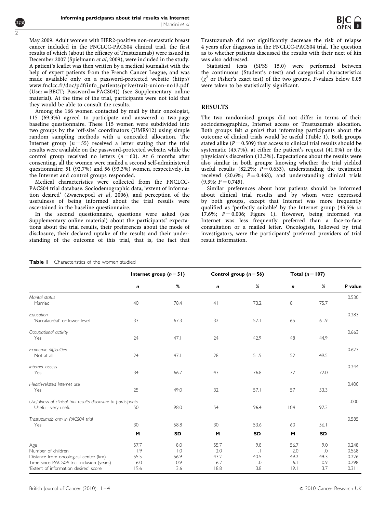May 2009. Adult women with HER2-positive non-metastatic breast cancer included in the FNCLCC-PACS04 clinical trial, the first results of which (about the efficacy of Trastuzumab) were issued in December 2007 (Spielmann et al, 2009), were included in the study. A patient's leaflet was then written by a medical journalist with the help of expert patients from the French Cancer League, and was made available only on a password-protected website [\(http://](http://www.fnclcc.fr/doc/pdf/info_patients/prive/trait-union-no13.pdf) [www.fnclcc.fr/doc/pdf/info\\_patients/prive/trait-union-no13.pdf](http://www.fnclcc.fr/doc/pdf/info_patients/prive/trait-union-no13.pdf)  $(User = BECT; Password = PACS04)$  (see Supplementary online material). At the time of the trial, participants were not told that they would be able to consult the results.

Among the 166 women contacted by mail by their oncologist, 115 (69.3%) agreed to participate and answered a two-page baseline questionnaire. These 115 women were subdivided into two groups by the 'off-site' coordinators (UMR912) using simple random sampling methods with a concealed allocation. The Internet group ( $n = 55$ ) received a letter stating that the trial results were available on the password-protected website, while the control group received no letters  $(n=60)$ . At 6 months after consenting, all the women were mailed a second self-administered questionnaire; 51 (92.7%) and 56 (93.3%) women, respectively, in the Internet and control groups responded.

Medical characteristics were collected from the FNCLCC-PACS04 trial database. Sociodemographic data, 'extent of information desired' (Zwaenepoel et al, 2006), and perception of the usefulness of being informed about the trial results were ascertained in the baseline questionnaire.

In the second questionnaire, questions were asked (see Supplementary online material) about the participants' expectations about the trial results, their preferences about the mode of disclosure, their declared uptake of the results and their understanding of the outcome of this trial, that is, the fact that Trastuzumab did not significantly decrease the risk of relapse 4 years after diagnosis in the FNCLCC-PACS04 trial. The question as to whether patients discussed the results with their next of kin was also addressed.

Statistical tests (SPSS 15.0) were performed between the continuous (Student's t-test) and categorical characteristics  $(\chi^2$  or Fisher's exact test) of the two groups. P-values below 0.05 were taken to be statistically significant.

#### RESULTS

The two randomised groups did not differ in terms of their sociodemographics, Internet access or Trastuzumab allocation. Both groups felt a priori that informing participants about the outcome of clinical trials would be useful (Table 1). Both groups stated alike ( $P = 0.509$ ) that access to clinical trial results should be systematic (45.7%), at either the patient's request (41.0%) or the physician's discretion (13.3%). Expectations about the results were also similar in both groups: knowing whether the trial yielded useful results (82.2%;  $P = 0.633$ ), understanding the treatment received (20.6%;  $P = 0.468$ ), and understanding clinical trials  $(9.3\%; P = 0.745).$ 

Similar preferences about how patients should be informed about clinical trial results and by whom were expressed by both groups, except that Internet was more frequently qualified as 'perfectly suitable' by the Internet group (43.5% vs 17.6%;  $P = 0.006$ ; Figure 1). However, being informed via Internet was less frequently preferred than a face-to-face consultation or a mailed letter. Oncologists, followed by trial investigators, were the participants' preferred providers of trial result information.

|                                                                                                                                                          | Internet group $(n=51)$            |                                               | Control group $(n=56)$             |                                                   | Total $(n = 107)$                  |                                               |                                           |
|----------------------------------------------------------------------------------------------------------------------------------------------------------|------------------------------------|-----------------------------------------------|------------------------------------|---------------------------------------------------|------------------------------------|-----------------------------------------------|-------------------------------------------|
|                                                                                                                                                          | n                                  | %                                             | $\mathbf n$                        | %                                                 | n                                  | %                                             | P value                                   |
| Marital status<br>Married                                                                                                                                | 40                                 | 78.4                                          | 4 <sub>l</sub>                     | 73.2                                              | 8 <sub>1</sub>                     | 75.7                                          | 0.530                                     |
| Education<br>'Baccalauréat' or lower level                                                                                                               | 33                                 | 67.3                                          | 32                                 | 57.1                                              | 65                                 | 61.9                                          | 0.283                                     |
| Occupational activity<br>Yes                                                                                                                             | 24                                 | 47.1                                          | 24                                 | 42.9                                              | 48                                 | 44.9                                          | 0.663                                     |
| Economic difficulties<br>Not at all                                                                                                                      | 24                                 | 47.1                                          | 28                                 | 51.9                                              | 52                                 | 49.5                                          | 0.623                                     |
| Internet access<br>Yes                                                                                                                                   | 34                                 | 66.7                                          | 43                                 | 76.8                                              | 77                                 | 72.0                                          | 0.244                                     |
| Health-related Internet use<br>Yes                                                                                                                       | 25                                 | 49.0                                          | 32                                 | 57.1                                              | 57                                 | 53.3                                          | 0.400                                     |
| Usefulness of clinical trial results disclosure to participants<br>Useful-very useful                                                                    | 50                                 | 98.0                                          | 54                                 | 96.4                                              | 104                                | 97.2                                          | 1.000                                     |
| Trastuzumab arm in PACS04 trial<br>Yes                                                                                                                   | 30                                 | 58.8                                          | 30                                 | 53.6                                              | 60                                 | 56.1                                          | 0.585                                     |
|                                                                                                                                                          | M                                  | SD                                            | M                                  | <b>SD</b>                                         | M                                  | SD                                            |                                           |
| Age<br>Number of children<br>Distance from oncological centre (km)<br>Time since PACS04 trial inclusion (years)<br>'Extent of information desired' score | 57.7<br>1.9<br>55.5<br>6.0<br>19.6 | 8.0<br>$\overline{1.0}$<br>56.9<br>0.9<br>3.6 | 55.7<br>2.0<br>43.2<br>6.2<br>18.8 | 9.8<br>$\perp$<br>40.5<br>$\overline{1.0}$<br>3.8 | 56.7<br>2.0<br>49.2<br>6.1<br> 9.1 | 9.0<br>$\overline{0}$ .<br>49.3<br>0.9<br>3.7 | 0.248<br>0.568<br>0.226<br>0.298<br>0.311 |

#### Table I Characteristics of the women studied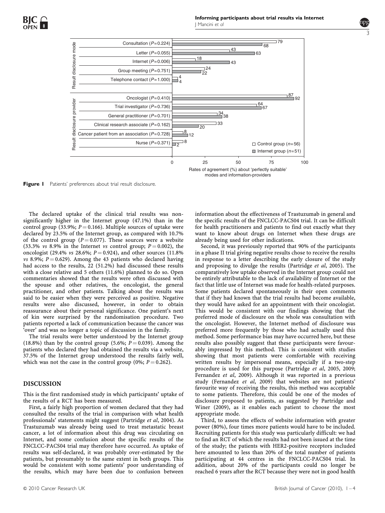3



modes and information-providers

Figure I Patients' preferences about trial result disclosure.

The declared uptake of the clinical trial results was nonsignificantly higher in the Internet group (47.1%) than in the control group (33.9%;  $P = 0.166$ ). Multiple sources of uptake were declared by 23.5% of the Internet group, as compared with 10.7% of the control group ( $P = 0.077$ ). These sources were a website (33.3%  $vs$  8.9% in the Internet vs control group;  $P = 0.002$ ), the oncologist (29.4% *vs* 28.6%;  $P = 0.924$ ), and other sources (11.8%) vs 8.9%;  $P = 0.629$ ). Among the 43 patients who declared having had access to the results,  $22$  (51.2%) had discussed these results with a close relative and 5 others (11.6%) planned to do so. Open commentaries showed that the results were often discussed with the spouse and other relatives, the oncologist, the general practitioner, and other patients. Talking about the results was said to be easier when they were perceived as positive. Negative results were also discussed, however, in order to obtain reassurance about their personal significance. One patient's next of kin were surprised by the randomisation procedure. Two patients reported a lack of communication because the cancer was 'over' and was no longer a topic of discussion in the family.

The trial results were better understood by the Internet group (18.8%) than by the control group (5.6%;  $P = 0.039$ ). Among the patients who declared they had obtained the results via a website, 37.5% of the Internet group understood the results fairly well, which was not the case in the control group (0%;  $P = 0.262$ ).

#### DISCUSSION

This is the first randomised study in which participants' uptake of the results of a RCT has been measured.

First, a fairly high proportion of women declared that they had consulted the results of the trial in comparison with what health professionals' statements might suggest (Partridge et al, 2004). As Trastuzumab was already being used to treat metastatic breast cancer, a lot of information about this drug was circulating on Internet, and some confusion about the specific results of the FNCLCC-PACS04 trial may therefore have occurred. As uptake of results was self-declared, it was probably over-estimated by the patients, but presumably to the same extent in both groups. This would be consistent with some patients' poor understanding of the results, which may have been due to confusion between

information about the effectiveness of Trastuzumab in general and the specific results of the FNCLCC-PACS04 trial. It can be difficult for health practitioners and patients to find out exactly what they want to know about drugs on Internet when these drugs are already being used for other indications.

Second, it was previously reported that 90% of the participants in a phase II trial giving negative results chose to receive the results in response to a letter describing the early closure of the study and proposing to divulge the results (Partridge et al, 2005). The comparatively low uptake observed in the Internet group could not be entirely attributable to the lack of availability of Internet or the fact that little use of Internet was made for health-related purposes. Some patients declared spontaneously in their open comments that if they had known that the trial results had become available, they would have asked for an appointment with their oncologist. This would be consistent with our findings showing that the preferred mode of disclosure on the whole was consultation with the oncologist. However, the Internet method of disclosure was preferred more frequently by those who had actually used this method. Some performance bias may have occurred here, but these results also possibly suggest that these participants were favourably impressed by this method. This is consistent with studies showing that most patients were comfortable with receiving written results by impersonal means, especially if a two-step procedure is used for this purpose (Partridge et al, 2005, 2009; Fernandez et al, 2009). Although it was reported in a previous study (Fernandez et al, 2009) that websites are not patients' favourite way of receiving the results, this method was acceptable to some patients. Therefore, this could be one of the modes of disclosure proposed to patients, as suggested by Partridge and Winer (2009), as it enables each patient to choose the most appropriate mode.

Third, to assess the effects of website information with greater power (80%), four times more patients would have to be included. Recruiting patients for this study was particularly difficult: we had to find an RCT of which the results had not been issued at the time of the study; the patients with HER2-positive receptors included here amounted to less than 20% of the total number of patients participating at 44 centres in the FNCLCC-PACS04 trial. In addition, about 20% of the participants could no longer be reached 6 years after the RCT because they were not in good health